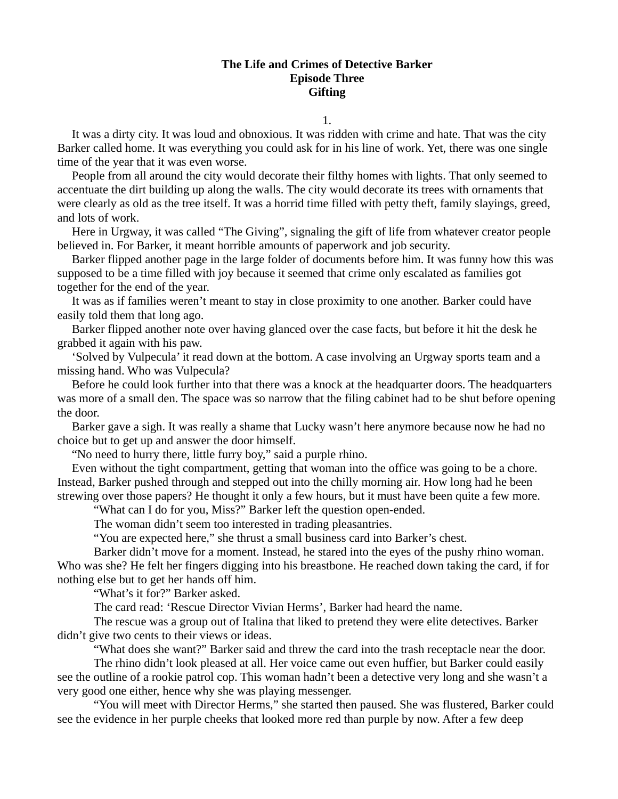## **The Life and Crimes of Detective Barker Episode Three Gifting**

1.

It was a dirty city. It was loud and obnoxious. It was ridden with crime and hate. That was the city Barker called home. It was everything you could ask for in his line of work. Yet, there was one single time of the year that it was even worse.

People from all around the city would decorate their filthy homes with lights. That only seemed to accentuate the dirt building up along the walls. The city would decorate its trees with ornaments that were clearly as old as the tree itself. It was a horrid time filled with petty theft, family slayings, greed, and lots of work.

Here in Urgway, it was called "The Giving", signaling the gift of life from whatever creator people believed in. For Barker, it meant horrible amounts of paperwork and job security.

Barker flipped another page in the large folder of documents before him. It was funny how this was supposed to be a time filled with joy because it seemed that crime only escalated as families got together for the end of the year.

It was as if families weren't meant to stay in close proximity to one another. Barker could have easily told them that long ago.

Barker flipped another note over having glanced over the case facts, but before it hit the desk he grabbed it again with his paw.

'Solved by Vulpecula' it read down at the bottom. A case involving an Urgway sports team and a missing hand. Who was Vulpecula?

Before he could look further into that there was a knock at the headquarter doors. The headquarters was more of a small den. The space was so narrow that the filing cabinet had to be shut before opening the door.

Barker gave a sigh. It was really a shame that Lucky wasn't here anymore because now he had no choice but to get up and answer the door himself.

"No need to hurry there, little furry boy," said a purple rhino.

Even without the tight compartment, getting that woman into the office was going to be a chore. Instead, Barker pushed through and stepped out into the chilly morning air. How long had he been strewing over those papers? He thought it only a few hours, but it must have been quite a few more.

"What can I do for you, Miss?" Barker left the question open-ended.

The woman didn't seem too interested in trading pleasantries.

"You are expected here," she thrust a small business card into Barker's chest.

Barker didn't move for a moment. Instead, he stared into the eyes of the pushy rhino woman. Who was she? He felt her fingers digging into his breastbone. He reached down taking the card, if for nothing else but to get her hands off him.

"What's it for?" Barker asked.

The card read: 'Rescue Director Vivian Herms', Barker had heard the name.

The rescue was a group out of Italina that liked to pretend they were elite detectives. Barker didn't give two cents to their views or ideas.

"What does she want?" Barker said and threw the card into the trash receptacle near the door.

The rhino didn't look pleased at all. Her voice came out even huffier, but Barker could easily see the outline of a rookie patrol cop. This woman hadn't been a detective very long and she wasn't a very good one either, hence why she was playing messenger.

"You will meet with Director Herms," she started then paused. She was flustered, Barker could see the evidence in her purple cheeks that looked more red than purple by now. After a few deep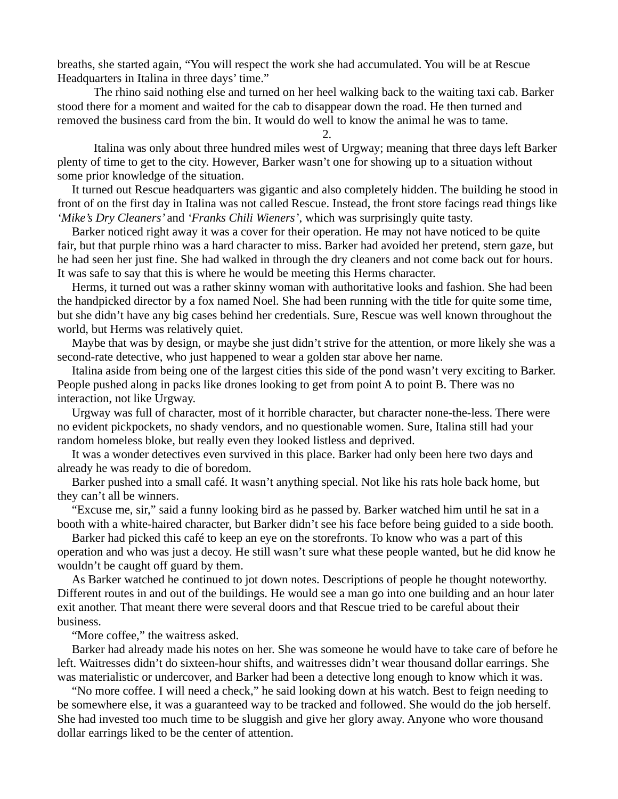breaths, she started again, "You will respect the work she had accumulated. You will be at Rescue Headquarters in Italina in three days' time."

The rhino said nothing else and turned on her heel walking back to the waiting taxi cab. Barker stood there for a moment and waited for the cab to disappear down the road. He then turned and removed the business card from the bin. It would do well to know the animal he was to tame.

2.

Italina was only about three hundred miles west of Urgway; meaning that three days left Barker plenty of time to get to the city. However, Barker wasn't one for showing up to a situation without some prior knowledge of the situation.

It turned out Rescue headquarters was gigantic and also completely hidden. The building he stood in front of on the first day in Italina was not called Rescue. Instead, the front store facings read things like *'Mike's Dry Cleaners'* and *'Franks Chili Wieners'*, which was surprisingly quite tasty.

Barker noticed right away it was a cover for their operation. He may not have noticed to be quite fair, but that purple rhino was a hard character to miss. Barker had avoided her pretend, stern gaze, but he had seen her just fine. She had walked in through the dry cleaners and not come back out for hours. It was safe to say that this is where he would be meeting this Herms character.

Herms, it turned out was a rather skinny woman with authoritative looks and fashion. She had been the handpicked director by a fox named Noel. She had been running with the title for quite some time, but she didn't have any big cases behind her credentials. Sure, Rescue was well known throughout the world, but Herms was relatively quiet.

Maybe that was by design, or maybe she just didn't strive for the attention, or more likely she was a second-rate detective, who just happened to wear a golden star above her name.

Italina aside from being one of the largest cities this side of the pond wasn't very exciting to Barker. People pushed along in packs like drones looking to get from point A to point B. There was no interaction, not like Urgway.

Urgway was full of character, most of it horrible character, but character none-the-less. There were no evident pickpockets, no shady vendors, and no questionable women. Sure, Italina still had your random homeless bloke, but really even they looked listless and deprived.

It was a wonder detectives even survived in this place. Barker had only been here two days and already he was ready to die of boredom.

Barker pushed into a small café. It wasn't anything special. Not like his rats hole back home, but they can't all be winners.

"Excuse me, sir," said a funny looking bird as he passed by. Barker watched him until he sat in a booth with a white-haired character, but Barker didn't see his face before being guided to a side booth.

Barker had picked this café to keep an eye on the storefronts. To know who was a part of this operation and who was just a decoy. He still wasn't sure what these people wanted, but he did know he wouldn't be caught off guard by them.

As Barker watched he continued to jot down notes. Descriptions of people he thought noteworthy. Different routes in and out of the buildings. He would see a man go into one building and an hour later exit another. That meant there were several doors and that Rescue tried to be careful about their business.

"More coffee," the waitress asked.

Barker had already made his notes on her. She was someone he would have to take care of before he left. Waitresses didn't do sixteen-hour shifts, and waitresses didn't wear thousand dollar earrings. She was materialistic or undercover, and Barker had been a detective long enough to know which it was.

"No more coffee. I will need a check," he said looking down at his watch. Best to feign needing to be somewhere else, it was a guaranteed way to be tracked and followed. She would do the job herself. She had invested too much time to be sluggish and give her glory away. Anyone who wore thousand dollar earrings liked to be the center of attention.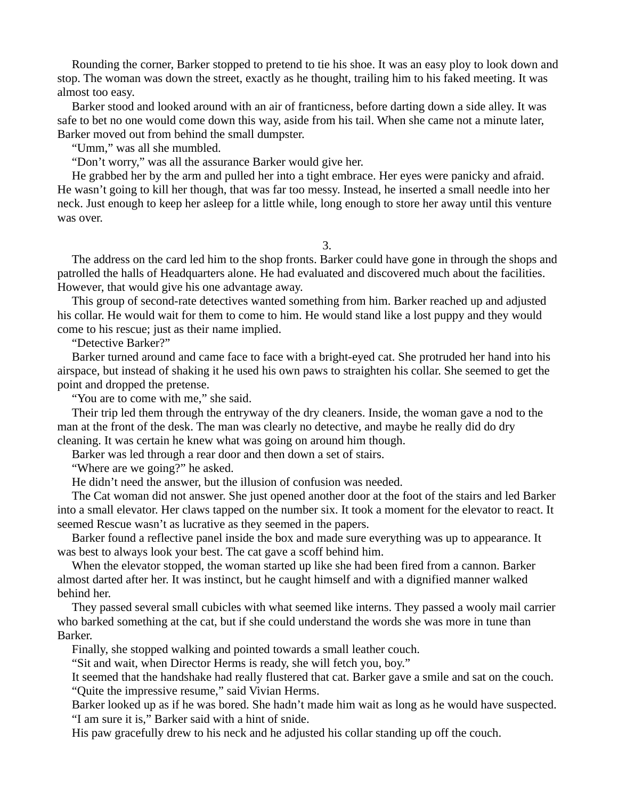Rounding the corner, Barker stopped to pretend to tie his shoe. It was an easy ploy to look down and stop. The woman was down the street, exactly as he thought, trailing him to his faked meeting. It was almost too easy.

Barker stood and looked around with an air of franticness, before darting down a side alley. It was safe to bet no one would come down this way, aside from his tail. When she came not a minute later, Barker moved out from behind the small dumpster.

"Umm," was all she mumbled.

"Don't worry," was all the assurance Barker would give her.

He grabbed her by the arm and pulled her into a tight embrace. Her eyes were panicky and afraid. He wasn't going to kill her though, that was far too messy. Instead, he inserted a small needle into her neck. Just enough to keep her asleep for a little while, long enough to store her away until this venture was over.

3.

The address on the card led him to the shop fronts. Barker could have gone in through the shops and patrolled the halls of Headquarters alone. He had evaluated and discovered much about the facilities. However, that would give his one advantage away.

This group of second-rate detectives wanted something from him. Barker reached up and adjusted his collar. He would wait for them to come to him. He would stand like a lost puppy and they would come to his rescue; just as their name implied.

"Detective Barker?"

Barker turned around and came face to face with a bright-eyed cat. She protruded her hand into his airspace, but instead of shaking it he used his own paws to straighten his collar. She seemed to get the point and dropped the pretense.

"You are to come with me," she said.

Their trip led them through the entryway of the dry cleaners. Inside, the woman gave a nod to the man at the front of the desk. The man was clearly no detective, and maybe he really did do dry cleaning. It was certain he knew what was going on around him though.

Barker was led through a rear door and then down a set of stairs.

"Where are we going?" he asked.

He didn't need the answer, but the illusion of confusion was needed.

The Cat woman did not answer. She just opened another door at the foot of the stairs and led Barker into a small elevator. Her claws tapped on the number six. It took a moment for the elevator to react. It seemed Rescue wasn't as lucrative as they seemed in the papers.

Barker found a reflective panel inside the box and made sure everything was up to appearance. It was best to always look your best. The cat gave a scoff behind him.

When the elevator stopped, the woman started up like she had been fired from a cannon. Barker almost darted after her. It was instinct, but he caught himself and with a dignified manner walked behind her.

They passed several small cubicles with what seemed like interns. They passed a wooly mail carrier who barked something at the cat, but if she could understand the words she was more in tune than Barker.

Finally, she stopped walking and pointed towards a small leather couch.

"Sit and wait, when Director Herms is ready, she will fetch you, boy."

It seemed that the handshake had really flustered that cat. Barker gave a smile and sat on the couch. "Quite the impressive resume," said Vivian Herms.

Barker looked up as if he was bored. She hadn't made him wait as long as he would have suspected. "I am sure it is," Barker said with a hint of snide.

His paw gracefully drew to his neck and he adjusted his collar standing up off the couch.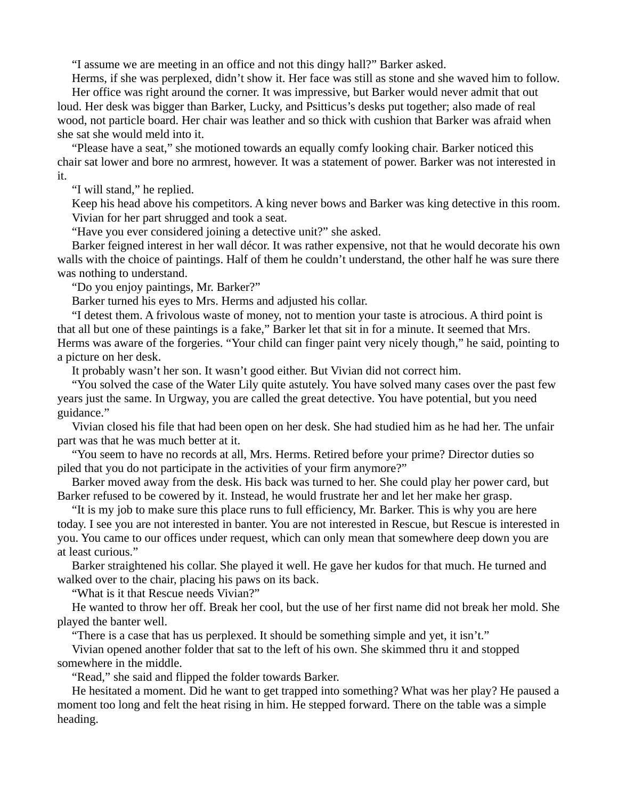"I assume we are meeting in an office and not this dingy hall?" Barker asked.

Herms, if she was perplexed, didn't show it. Her face was still as stone and she waved him to follow. Her office was right around the corner. It was impressive, but Barker would never admit that out loud. Her desk was bigger than Barker, Lucky, and Psitticus's desks put together; also made of real wood, not particle board. Her chair was leather and so thick with cushion that Barker was afraid when she sat she would meld into it.

"Please have a seat," she motioned towards an equally comfy looking chair. Barker noticed this chair sat lower and bore no armrest, however. It was a statement of power. Barker was not interested in it.

"I will stand," he replied.

Keep his head above his competitors. A king never bows and Barker was king detective in this room. Vivian for her part shrugged and took a seat.

"Have you ever considered joining a detective unit?" she asked.

Barker feigned interest in her wall décor. It was rather expensive, not that he would decorate his own walls with the choice of paintings. Half of them he couldn't understand, the other half he was sure there was nothing to understand.

"Do you enjoy paintings, Mr. Barker?"

Barker turned his eyes to Mrs. Herms and adjusted his collar.

"I detest them. A frivolous waste of money, not to mention your taste is atrocious. A third point is that all but one of these paintings is a fake," Barker let that sit in for a minute. It seemed that Mrs. Herms was aware of the forgeries. "Your child can finger paint very nicely though," he said, pointing to a picture on her desk.

It probably wasn't her son. It wasn't good either. But Vivian did not correct him.

"You solved the case of the Water Lily quite astutely. You have solved many cases over the past few years just the same. In Urgway, you are called the great detective. You have potential, but you need guidance."

Vivian closed his file that had been open on her desk. She had studied him as he had her. The unfair part was that he was much better at it.

"You seem to have no records at all, Mrs. Herms. Retired before your prime? Director duties so piled that you do not participate in the activities of your firm anymore?"

Barker moved away from the desk. His back was turned to her. She could play her power card, but Barker refused to be cowered by it. Instead, he would frustrate her and let her make her grasp.

"It is my job to make sure this place runs to full efficiency, Mr. Barker. This is why you are here today. I see you are not interested in banter. You are not interested in Rescue, but Rescue is interested in you. You came to our offices under request, which can only mean that somewhere deep down you are at least curious."

Barker straightened his collar. She played it well. He gave her kudos for that much. He turned and walked over to the chair, placing his paws on its back.

"What is it that Rescue needs Vivian?"

He wanted to throw her off. Break her cool, but the use of her first name did not break her mold. She played the banter well.

"There is a case that has us perplexed. It should be something simple and yet, it isn't."

Vivian opened another folder that sat to the left of his own. She skimmed thru it and stopped somewhere in the middle.

"Read," she said and flipped the folder towards Barker.

He hesitated a moment. Did he want to get trapped into something? What was her play? He paused a moment too long and felt the heat rising in him. He stepped forward. There on the table was a simple heading.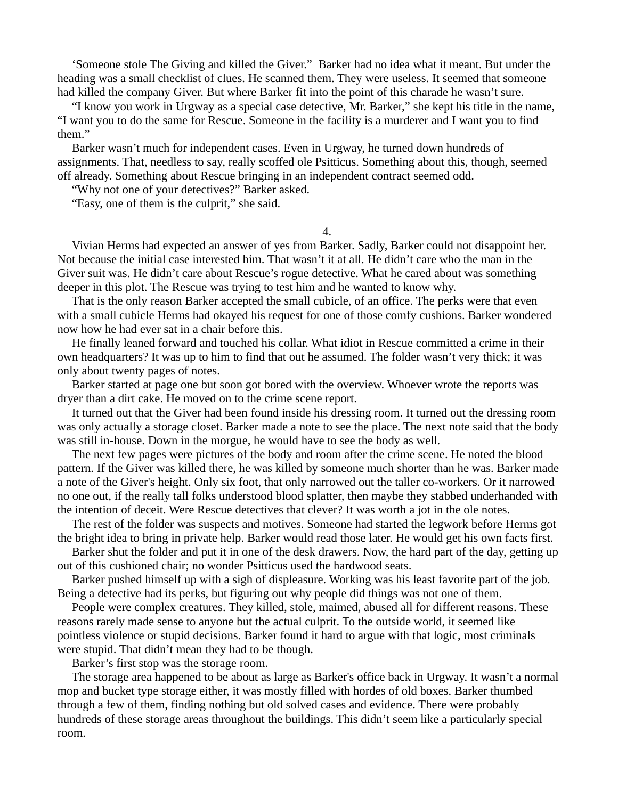'Someone stole The Giving and killed the Giver." Barker had no idea what it meant. But under the heading was a small checklist of clues. He scanned them. They were useless. It seemed that someone had killed the company Giver. But where Barker fit into the point of this charade he wasn't sure.

"I know you work in Urgway as a special case detective, Mr. Barker," she kept his title in the name, "I want you to do the same for Rescue. Someone in the facility is a murderer and I want you to find them."

Barker wasn't much for independent cases. Even in Urgway, he turned down hundreds of assignments. That, needless to say, really scoffed ole Psitticus. Something about this, though, seemed off already. Something about Rescue bringing in an independent contract seemed odd.

"Why not one of your detectives?" Barker asked.

"Easy, one of them is the culprit," she said.

4.

Vivian Herms had expected an answer of yes from Barker. Sadly, Barker could not disappoint her. Not because the initial case interested him. That wasn't it at all. He didn't care who the man in the Giver suit was. He didn't care about Rescue's rogue detective. What he cared about was something deeper in this plot. The Rescue was trying to test him and he wanted to know why.

That is the only reason Barker accepted the small cubicle, of an office. The perks were that even with a small cubicle Herms had okayed his request for one of those comfy cushions. Barker wondered now how he had ever sat in a chair before this.

He finally leaned forward and touched his collar. What idiot in Rescue committed a crime in their own headquarters? It was up to him to find that out he assumed. The folder wasn't very thick; it was only about twenty pages of notes.

Barker started at page one but soon got bored with the overview. Whoever wrote the reports was dryer than a dirt cake. He moved on to the crime scene report.

It turned out that the Giver had been found inside his dressing room. It turned out the dressing room was only actually a storage closet. Barker made a note to see the place. The next note said that the body was still in-house. Down in the morgue, he would have to see the body as well.

The next few pages were pictures of the body and room after the crime scene. He noted the blood pattern. If the Giver was killed there, he was killed by someone much shorter than he was. Barker made a note of the Giver's height. Only six foot, that only narrowed out the taller co-workers. Or it narrowed no one out, if the really tall folks understood blood splatter, then maybe they stabbed underhanded with the intention of deceit. Were Rescue detectives that clever? It was worth a jot in the ole notes.

The rest of the folder was suspects and motives. Someone had started the legwork before Herms got the bright idea to bring in private help. Barker would read those later. He would get his own facts first.

Barker shut the folder and put it in one of the desk drawers. Now, the hard part of the day, getting up out of this cushioned chair; no wonder Psitticus used the hardwood seats.

Barker pushed himself up with a sigh of displeasure. Working was his least favorite part of the job. Being a detective had its perks, but figuring out why people did things was not one of them.

People were complex creatures. They killed, stole, maimed, abused all for different reasons. These reasons rarely made sense to anyone but the actual culprit. To the outside world, it seemed like pointless violence or stupid decisions. Barker found it hard to argue with that logic, most criminals were stupid. That didn't mean they had to be though.

Barker's first stop was the storage room.

The storage area happened to be about as large as Barker's office back in Urgway. It wasn't a normal mop and bucket type storage either, it was mostly filled with hordes of old boxes. Barker thumbed through a few of them, finding nothing but old solved cases and evidence. There were probably hundreds of these storage areas throughout the buildings. This didn't seem like a particularly special room.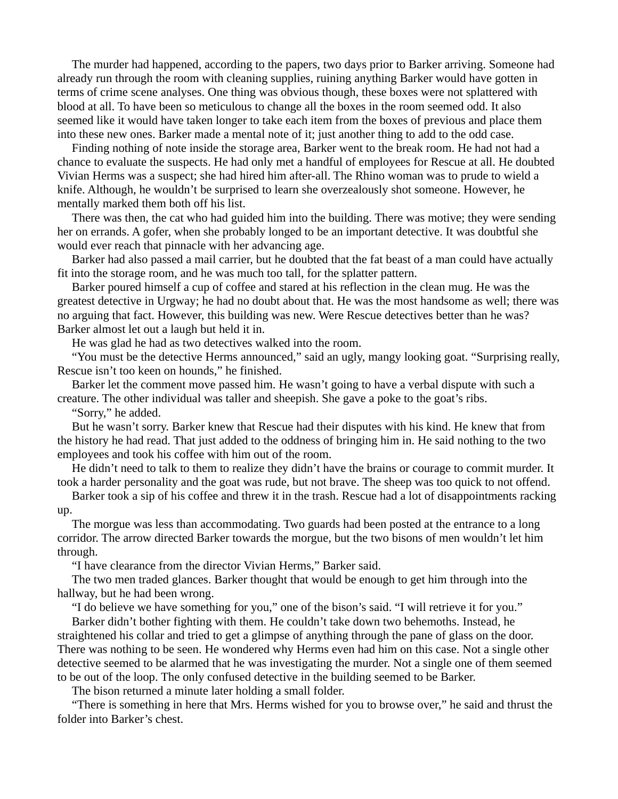The murder had happened, according to the papers, two days prior to Barker arriving. Someone had already run through the room with cleaning supplies, ruining anything Barker would have gotten in terms of crime scene analyses. One thing was obvious though, these boxes were not splattered with blood at all. To have been so meticulous to change all the boxes in the room seemed odd. It also seemed like it would have taken longer to take each item from the boxes of previous and place them into these new ones. Barker made a mental note of it; just another thing to add to the odd case.

Finding nothing of note inside the storage area, Barker went to the break room. He had not had a chance to evaluate the suspects. He had only met a handful of employees for Rescue at all. He doubted Vivian Herms was a suspect; she had hired him after-all. The Rhino woman was to prude to wield a knife. Although, he wouldn't be surprised to learn she overzealously shot someone. However, he mentally marked them both off his list.

There was then, the cat who had guided him into the building. There was motive; they were sending her on errands. A gofer, when she probably longed to be an important detective. It was doubtful she would ever reach that pinnacle with her advancing age.

Barker had also passed a mail carrier, but he doubted that the fat beast of a man could have actually fit into the storage room, and he was much too tall, for the splatter pattern.

Barker poured himself a cup of coffee and stared at his reflection in the clean mug. He was the greatest detective in Urgway; he had no doubt about that. He was the most handsome as well; there was no arguing that fact. However, this building was new. Were Rescue detectives better than he was? Barker almost let out a laugh but held it in.

He was glad he had as two detectives walked into the room.

"You must be the detective Herms announced," said an ugly, mangy looking goat. "Surprising really, Rescue isn't too keen on hounds," he finished.

Barker let the comment move passed him. He wasn't going to have a verbal dispute with such a creature. The other individual was taller and sheepish. She gave a poke to the goat's ribs.

"Sorry," he added.

But he wasn't sorry. Barker knew that Rescue had their disputes with his kind. He knew that from the history he had read. That just added to the oddness of bringing him in. He said nothing to the two employees and took his coffee with him out of the room.

He didn't need to talk to them to realize they didn't have the brains or courage to commit murder. It took a harder personality and the goat was rude, but not brave. The sheep was too quick to not offend.

Barker took a sip of his coffee and threw it in the trash. Rescue had a lot of disappointments racking up.

The morgue was less than accommodating. Two guards had been posted at the entrance to a long corridor. The arrow directed Barker towards the morgue, but the two bisons of men wouldn't let him through.

"I have clearance from the director Vivian Herms," Barker said.

The two men traded glances. Barker thought that would be enough to get him through into the hallway, but he had been wrong.

"I do believe we have something for you," one of the bison's said. "I will retrieve it for you."

Barker didn't bother fighting with them. He couldn't take down two behemoths. Instead, he straightened his collar and tried to get a glimpse of anything through the pane of glass on the door. There was nothing to be seen. He wondered why Herms even had him on this case. Not a single other detective seemed to be alarmed that he was investigating the murder. Not a single one of them seemed to be out of the loop. The only confused detective in the building seemed to be Barker.

The bison returned a minute later holding a small folder.

"There is something in here that Mrs. Herms wished for you to browse over," he said and thrust the folder into Barker's chest.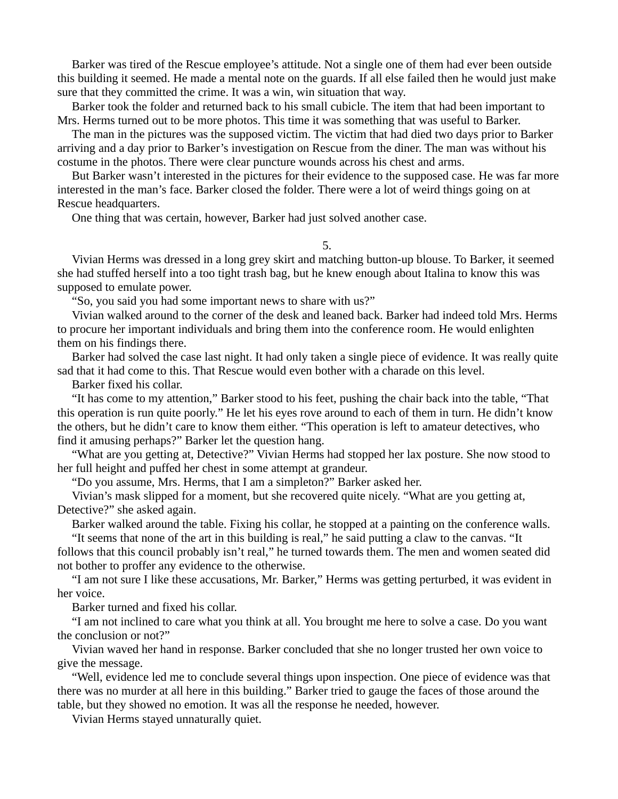Barker was tired of the Rescue employee's attitude. Not a single one of them had ever been outside this building it seemed. He made a mental note on the guards. If all else failed then he would just make sure that they committed the crime. It was a win, win situation that way.

Barker took the folder and returned back to his small cubicle. The item that had been important to Mrs. Herms turned out to be more photos. This time it was something that was useful to Barker.

The man in the pictures was the supposed victim. The victim that had died two days prior to Barker arriving and a day prior to Barker's investigation on Rescue from the diner. The man was without his costume in the photos. There were clear puncture wounds across his chest and arms.

But Barker wasn't interested in the pictures for their evidence to the supposed case. He was far more interested in the man's face. Barker closed the folder. There were a lot of weird things going on at Rescue headquarters.

One thing that was certain, however, Barker had just solved another case.

## 5.

Vivian Herms was dressed in a long grey skirt and matching button-up blouse. To Barker, it seemed she had stuffed herself into a too tight trash bag, but he knew enough about Italina to know this was supposed to emulate power.

"So, you said you had some important news to share with us?"

Vivian walked around to the corner of the desk and leaned back. Barker had indeed told Mrs. Herms to procure her important individuals and bring them into the conference room. He would enlighten them on his findings there.

Barker had solved the case last night. It had only taken a single piece of evidence. It was really quite sad that it had come to this. That Rescue would even bother with a charade on this level.

Barker fixed his collar.

"It has come to my attention," Barker stood to his feet, pushing the chair back into the table, "That this operation is run quite poorly." He let his eyes rove around to each of them in turn. He didn't know the others, but he didn't care to know them either. "This operation is left to amateur detectives, who find it amusing perhaps?" Barker let the question hang.

"What are you getting at, Detective?" Vivian Herms had stopped her lax posture. She now stood to her full height and puffed her chest in some attempt at grandeur.

"Do you assume, Mrs. Herms, that I am a simpleton?" Barker asked her.

Vivian's mask slipped for a moment, but she recovered quite nicely. "What are you getting at, Detective?" she asked again.

Barker walked around the table. Fixing his collar, he stopped at a painting on the conference walls.

"It seems that none of the art in this building is real," he said putting a claw to the canvas. "It follows that this council probably isn't real," he turned towards them. The men and women seated did not bother to proffer any evidence to the otherwise.

"I am not sure I like these accusations, Mr. Barker," Herms was getting perturbed, it was evident in her voice.

Barker turned and fixed his collar.

"I am not inclined to care what you think at all. You brought me here to solve a case. Do you want the conclusion or not?"

Vivian waved her hand in response. Barker concluded that she no longer trusted her own voice to give the message.

"Well, evidence led me to conclude several things upon inspection. One piece of evidence was that there was no murder at all here in this building." Barker tried to gauge the faces of those around the table, but they showed no emotion. It was all the response he needed, however.

Vivian Herms stayed unnaturally quiet.